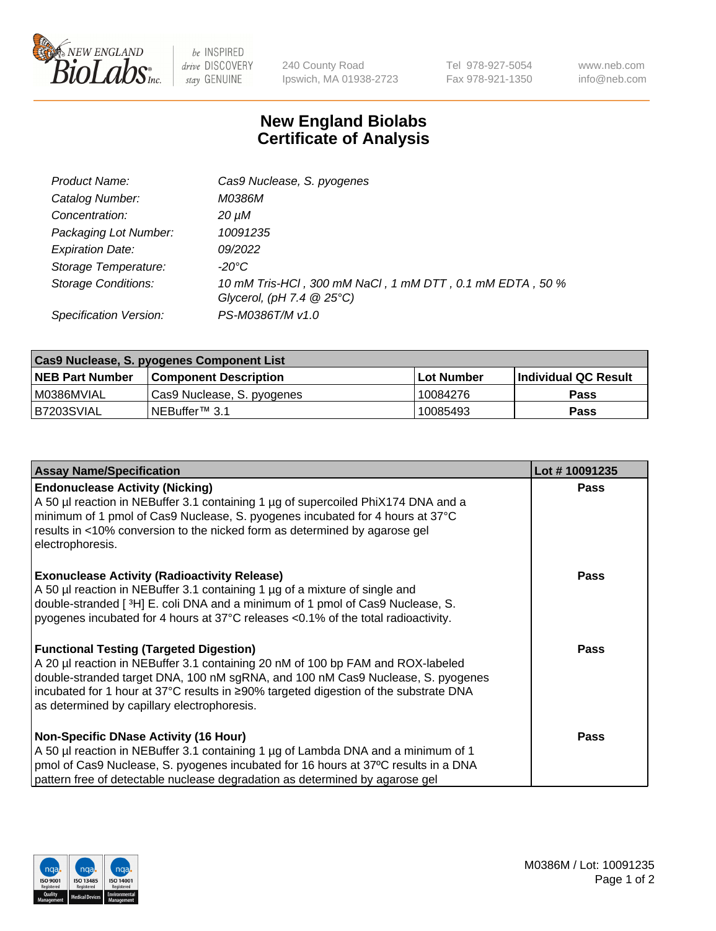

 $be$  INSPIRED drive DISCOVERY stay GENUINE

240 County Road Ipswich, MA 01938-2723 Tel 978-927-5054 Fax 978-921-1350 www.neb.com info@neb.com

## **New England Biolabs Certificate of Analysis**

| Product Name:              | Cas9 Nuclease, S. pyogenes                                                              |
|----------------------------|-----------------------------------------------------------------------------------------|
| Catalog Number:            | M0386M                                                                                  |
| Concentration:             | 20 µM                                                                                   |
| Packaging Lot Number:      | 10091235                                                                                |
| <b>Expiration Date:</b>    | 09/2022                                                                                 |
| Storage Temperature:       | -20°C                                                                                   |
| <b>Storage Conditions:</b> | 10 mM Tris-HCl, 300 mM NaCl, 1 mM DTT, 0.1 mM EDTA, 50 %<br>Glycerol, (pH 7.4 $@25°C$ ) |
| Specification Version:     | PS-M0386T/M v1.0                                                                        |

| Cas9 Nuclease, S. pyogenes Component List |                              |                   |                      |  |  |
|-------------------------------------------|------------------------------|-------------------|----------------------|--|--|
| <b>NEB Part Number</b>                    | <b>Component Description</b> | <b>Lot Number</b> | Individual QC Result |  |  |
| I M0386MVIAL                              | Cas9 Nuclease, S. pyogenes   | 10084276          | <b>Pass</b>          |  |  |
| B7203SVIAL                                | INEBuffer™ 3.1               | 10085493          | <b>Pass</b>          |  |  |

| <b>Assay Name/Specification</b>                                                                                                                                                                                                                                                                                                                              | Lot #10091235 |
|--------------------------------------------------------------------------------------------------------------------------------------------------------------------------------------------------------------------------------------------------------------------------------------------------------------------------------------------------------------|---------------|
| <b>Endonuclease Activity (Nicking)</b><br>A 50 µl reaction in NEBuffer 3.1 containing 1 µg of supercoiled PhiX174 DNA and a<br>minimum of 1 pmol of Cas9 Nuclease, S. pyogenes incubated for 4 hours at 37°C<br>results in <10% conversion to the nicked form as determined by agarose gel<br>electrophoresis.                                               | <b>Pass</b>   |
| <b>Exonuclease Activity (Radioactivity Release)</b><br>A 50 µl reaction in NEBuffer 3.1 containing 1 µg of a mixture of single and<br>double-stranded [ <sup>3</sup> H] E. coli DNA and a minimum of 1 pmol of Cas9 Nuclease, S.<br>pyogenes incubated for 4 hours at 37°C releases <0.1% of the total radioactivity.                                        | <b>Pass</b>   |
| <b>Functional Testing (Targeted Digestion)</b><br>A 20 µl reaction in NEBuffer 3.1 containing 20 nM of 100 bp FAM and ROX-labeled<br>double-stranded target DNA, 100 nM sgRNA, and 100 nM Cas9 Nuclease, S. pyogenes<br> incubated for 1 hour at 37°C results in ≥90% targeted digestion of the substrate DNA<br>as determined by capillary electrophoresis. | <b>Pass</b>   |
| <b>Non-Specific DNase Activity (16 Hour)</b><br>A 50 µl reaction in NEBuffer 3.1 containing 1 µg of Lambda DNA and a minimum of 1<br>pmol of Cas9 Nuclease, S. pyogenes incubated for 16 hours at 37°C results in a DNA<br>pattern free of detectable nuclease degradation as determined by agarose gel                                                      | <b>Pass</b>   |